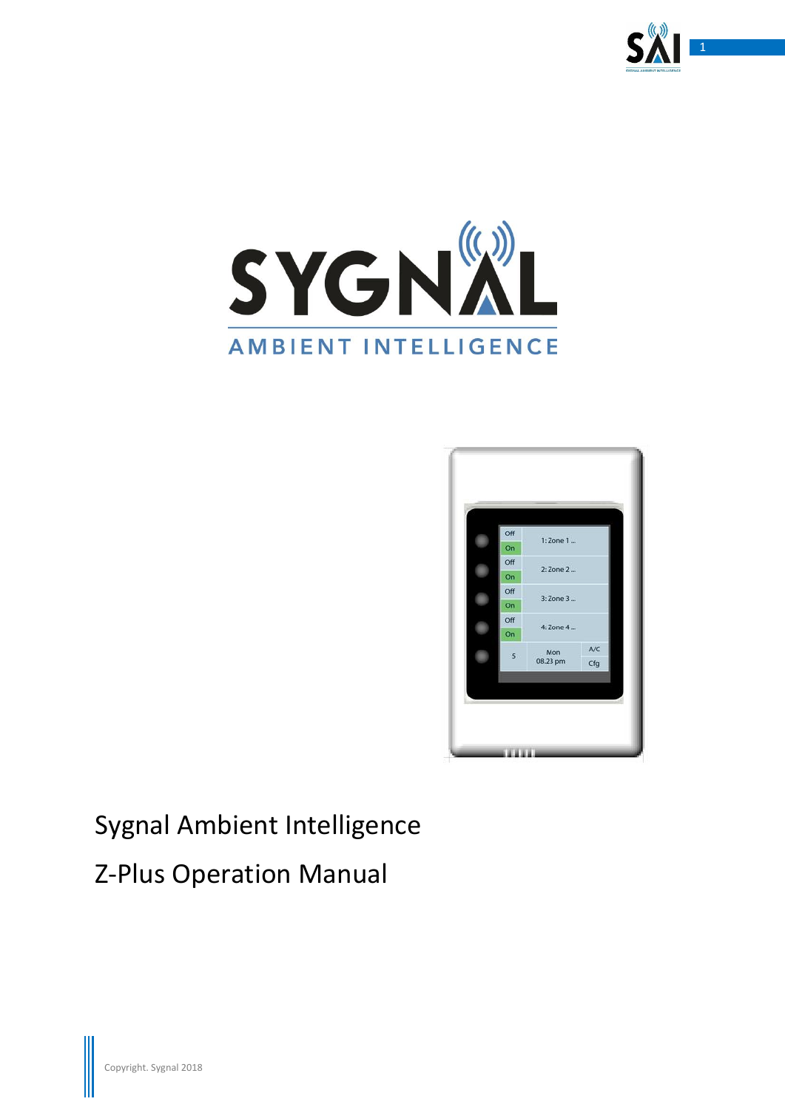





# Sygnal Ambient Intelligence

# Z-Plus Operation Manual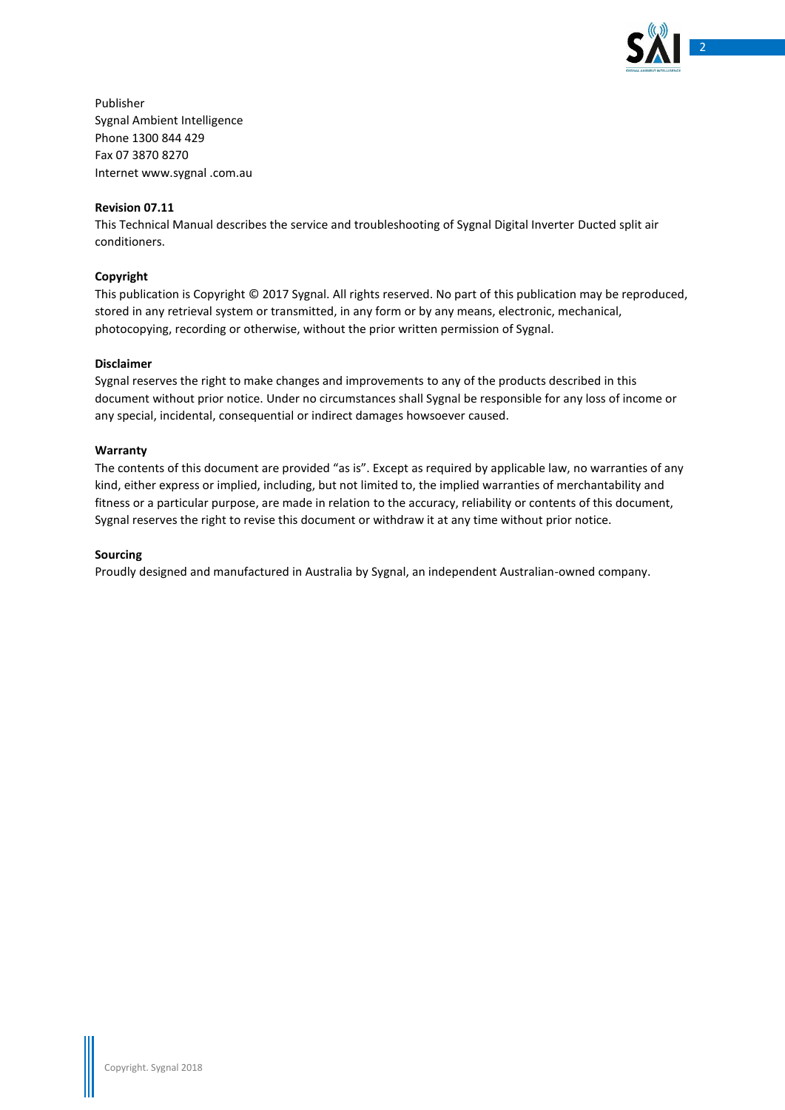

Publisher Sygnal Ambient Intelligence Phone 1300 844 429 Fax 07 3870 8270 Internet www.sygnal .com.au

### **Revision 07.11**

This Technical Manual describes the service and troubleshooting of Sygnal Digital Inverter Ducted split air conditioners.

### **Copyright**

This publication is Copyright © 2017 Sygnal. All rights reserved. No part of this publication may be reproduced, stored in any retrieval system or transmitted, in any form or by any means, electronic, mechanical, photocopying, recording or otherwise, without the prior written permission of Sygnal.

#### **Disclaimer**

Sygnal reserves the right to make changes and improvements to any of the products described in this document without prior notice. Under no circumstances shall Sygnal be responsible for any loss of income or any special, incidental, consequential or indirect damages howsoever caused.

#### **Warranty**

The contents of this document are provided "as is". Except as required by applicable law, no warranties of any kind, either express or implied, including, but not limited to, the implied warranties of merchantability and fitness or a particular purpose, are made in relation to the accuracy, reliability or contents of this document, Sygnal reserves the right to revise this document or withdraw it at any time without prior notice.

#### **Sourcing**

Proudly designed and manufactured in Australia by Sygnal, an independent Australian-owned company.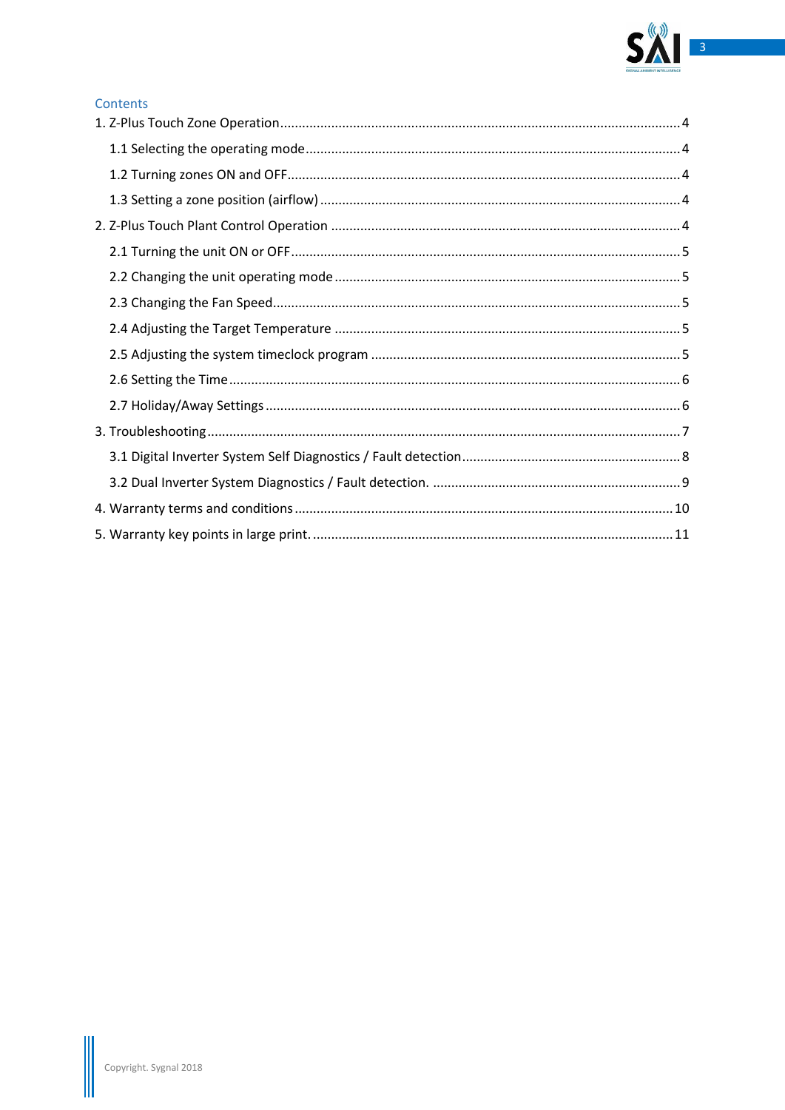

### Contents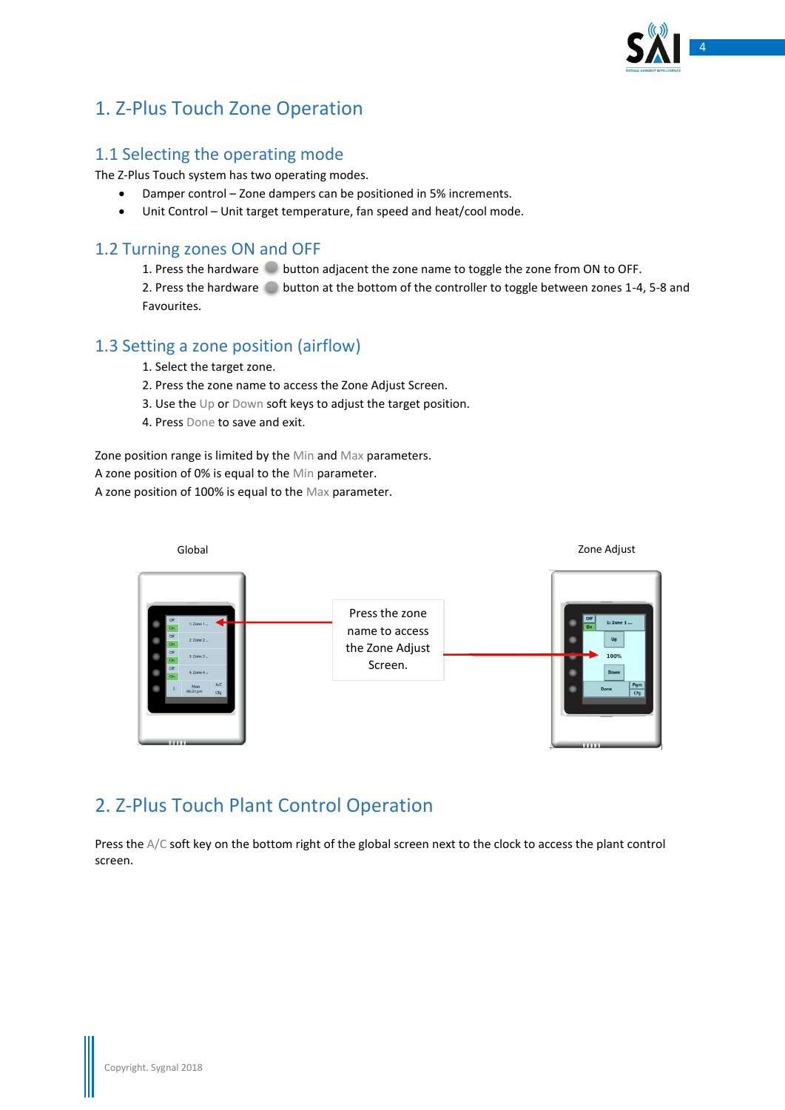

### <span id="page-3-0"></span>1. Z-Plus Touch Zone Operation

### <span id="page-3-1"></span>1.1 Selecting the operating mode

The Z-Plus Touch system has two operating modes.

- Damper control Zone dampers can be positioned in 5% increments.
- Unit Control Unit target temperature, fan speed and heat/cool mode.

### <span id="page-3-2"></span>1.2 Turning zones ON and OFF

1. Press the hardware  $\degree$  button adjacent the zone name to toggle the zone from ON to OFF. 2. Press the hardware button at the bottom of the controller to toggle between zones 1-4, 5-8 and Favourites.

### <span id="page-3-3"></span>1.3 Setting a zone position (airflow)

1. Select the target zone.

- 2. Press the zone name to access the Zone Adjust Screen.
- 3. Use the Up or Down soft keys to adjust the target position.
- 4. Press Done to save and exit.

Zone position range is limited by the Min and Max parameters.

A zone position of 0% is equal to the Min parameter.

A zone position of 100% is equal to the Max parameter.



### <span id="page-3-4"></span>2. Z-Plus Touch Plant Control Operation

Press the A/C soft key on the bottom right of the global screen next to the clock to access the plant control screen.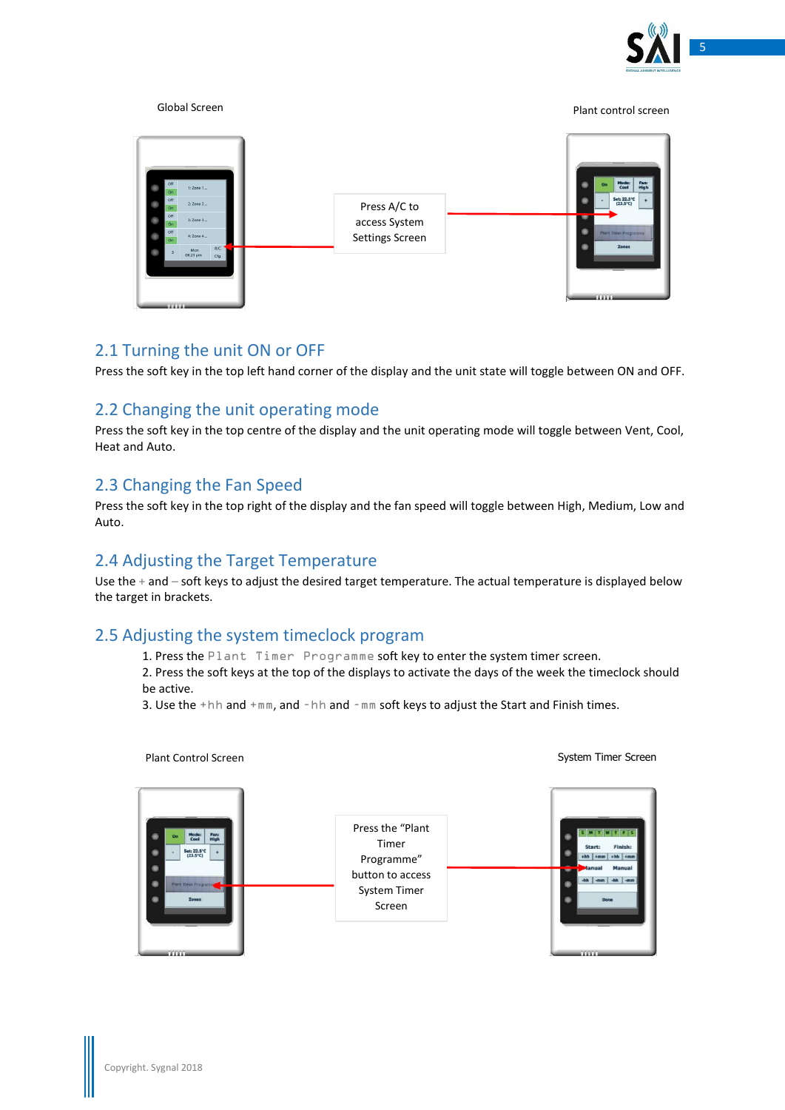



### <span id="page-4-0"></span>2.1 Turning the unit ON or OFF

Press the soft key in the top left hand corner of the display and the unit state will toggle between ON and OFF.

### <span id="page-4-1"></span>2.2 Changing the unit operating mode

Press the soft key in the top centre of the display and the unit operating mode will toggle between Vent, Cool, Heat and Auto.

### <span id="page-4-2"></span>2.3 Changing the Fan Speed

Press the soft key in the top right of the display and the fan speed will toggle between High, Medium, Low and Auto.

### <span id="page-4-3"></span>2.4 Adjusting the Target Temperature

Use the + and – soft keys to adjust the desired target temperature. The actual temperature is displayed below the target in brackets.

### <span id="page-4-4"></span>2.5 Adjusting the system timeclock program

1. Press the Plant Timer Programme soft key to enter the system timer screen. 2. Press the soft keys at the top of the displays to activate the days of the week the timeclock should be active.

3. Use the +hh and +mm, and –hh and –mm soft keys to adjust the Start and Finish times.

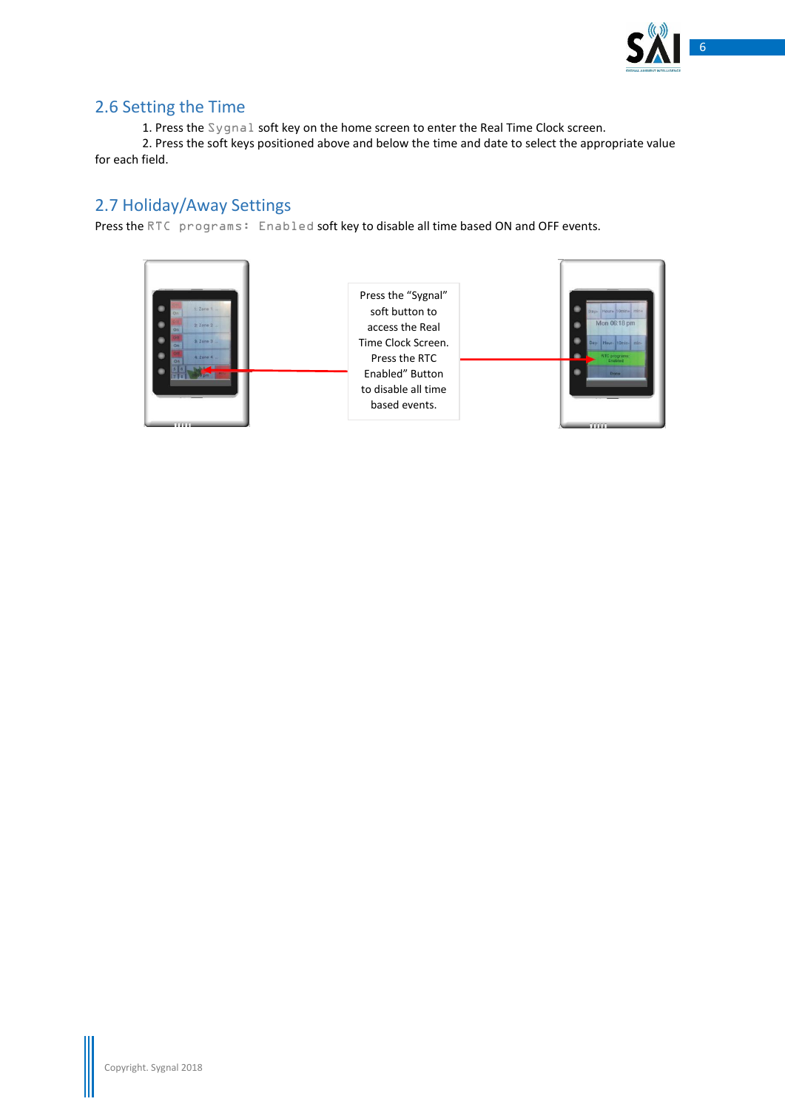

### <span id="page-5-0"></span>2.6 Setting the Time

1. Press the Sygnal soft key on the home screen to enter the Real Time Clock screen.

2. Press the soft keys positioned above and below the time and date to select the appropriate value for each field.

### <span id="page-5-1"></span>2.7 Holiday/Away Settings

Press the RTC programs: Enabled soft key to disable all time based ON and OFF events.

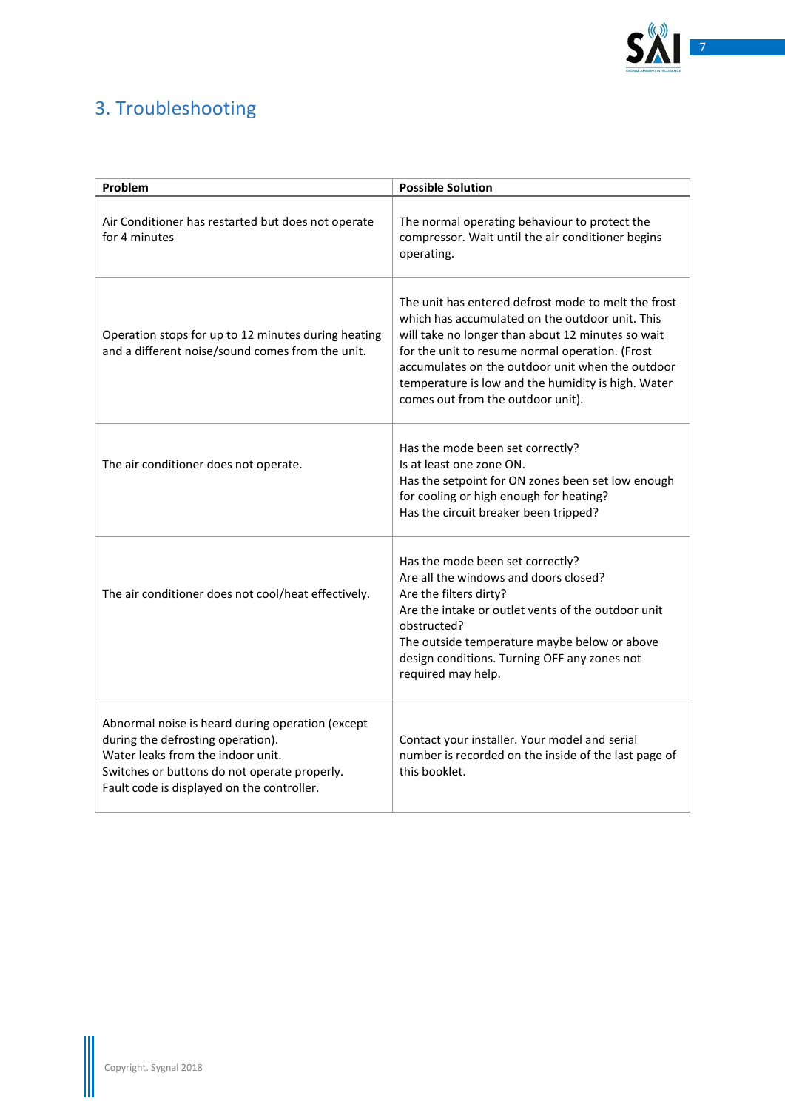

## <span id="page-6-0"></span>3. Troubleshooting

| Problem                                                                                                                                                                                                                  | <b>Possible Solution</b>                                                                                                                                                                                                                                                                                                                                      |
|--------------------------------------------------------------------------------------------------------------------------------------------------------------------------------------------------------------------------|---------------------------------------------------------------------------------------------------------------------------------------------------------------------------------------------------------------------------------------------------------------------------------------------------------------------------------------------------------------|
| Air Conditioner has restarted but does not operate<br>for 4 minutes                                                                                                                                                      | The normal operating behaviour to protect the<br>compressor. Wait until the air conditioner begins<br>operating.                                                                                                                                                                                                                                              |
| Operation stops for up to 12 minutes during heating<br>and a different noise/sound comes from the unit.                                                                                                                  | The unit has entered defrost mode to melt the frost<br>which has accumulated on the outdoor unit. This<br>will take no longer than about 12 minutes so wait<br>for the unit to resume normal operation. (Frost<br>accumulates on the outdoor unit when the outdoor<br>temperature is low and the humidity is high. Water<br>comes out from the outdoor unit). |
| The air conditioner does not operate.                                                                                                                                                                                    | Has the mode been set correctly?<br>Is at least one zone ON.<br>Has the setpoint for ON zones been set low enough<br>for cooling or high enough for heating?<br>Has the circuit breaker been tripped?                                                                                                                                                         |
| The air conditioner does not cool/heat effectively.                                                                                                                                                                      | Has the mode been set correctly?<br>Are all the windows and doors closed?<br>Are the filters dirty?<br>Are the intake or outlet vents of the outdoor unit<br>obstructed?<br>The outside temperature maybe below or above<br>design conditions. Turning OFF any zones not<br>required may help.                                                                |
| Abnormal noise is heard during operation (except<br>during the defrosting operation).<br>Water leaks from the indoor unit.<br>Switches or buttons do not operate properly.<br>Fault code is displayed on the controller. | Contact your installer. Your model and serial<br>number is recorded on the inside of the last page of<br>this booklet.                                                                                                                                                                                                                                        |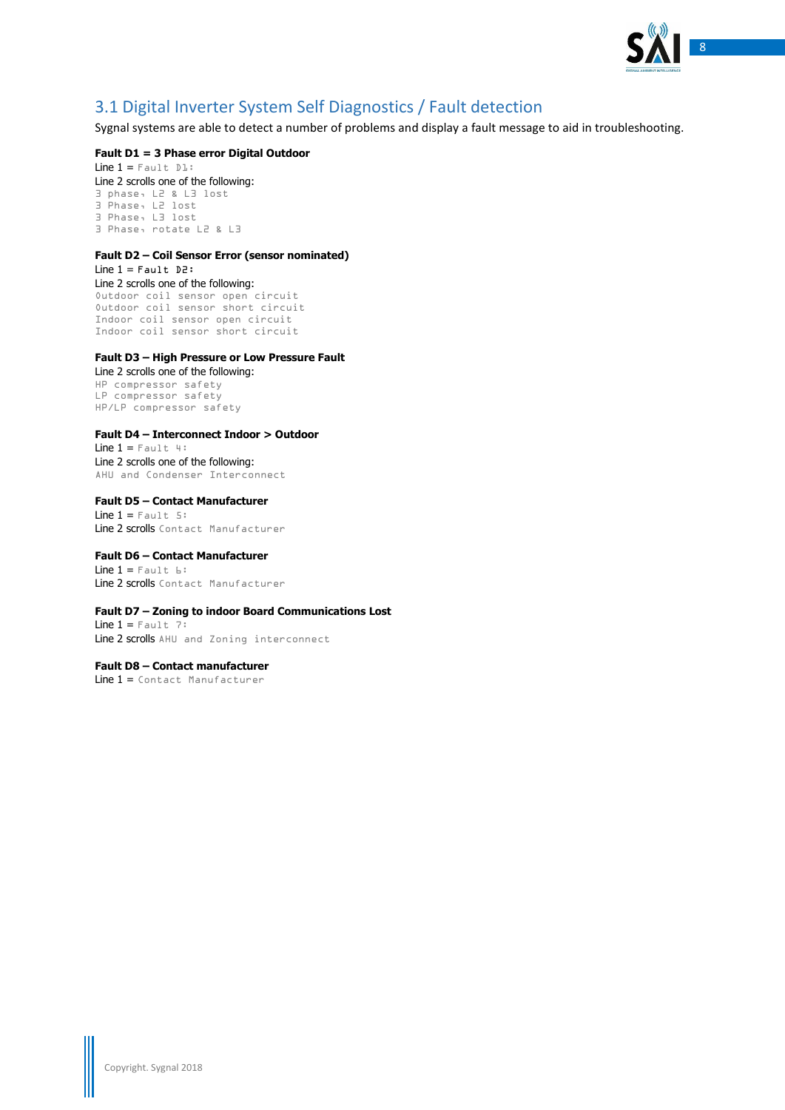

### <span id="page-7-0"></span>3.1 Digital Inverter System Self Diagnostics / Fault detection

Sygnal systems are able to detect a number of problems and display a fault message to aid in troubleshooting.

### **Fault D1 = 3 Phase error Digital Outdoor**

Line  $1 =$  Fault  $DI$ : Line 2 scrolls one of the following: 3 phase, L2 & L3 lost 3 Phase, L2 lost 3 Phase, L3 lost 3 Phase, rotate L2 & L3

### **Fault D2 – Coil Sensor Error (sensor nominated)**

Line  $1 =$  Fault D2: Line 2 scrolls one of the following: Outdoor coil sensor open circuit Outdoor coil sensor short circuit Indoor coil sensor open circuit Indoor coil sensor short circuit

#### **Fault D3 – High Pressure or Low Pressure Fault**

Line 2 scrolls one of the following: HP compressor safety LP compressor safety HP/LP compressor safety

#### **Fault D4 – Interconnect Indoor > Outdoor**

Line  $1 =$  Fault 4: Line 2 scrolls one of the following: AHU and Condenser Interconnect

**Fault D5 – Contact Manufacturer** Line  $1 = \text{Fault } 5$ : Line 2 scrolls Contact Manufacturer

#### **Fault D6 – Contact Manufacturer**

Line  $1 =$  Fault  $6:$ Line 2 scrolls Contact Manufacturer

#### **Fault D7 – Zoning to indoor Board Communications Lost**

Line  $1 =$  Fault 7: Line 2 scrolls AHU and Zoning interconnect

**Fault D8 – Contact manufacturer** Line 1 = Contact Manufacturer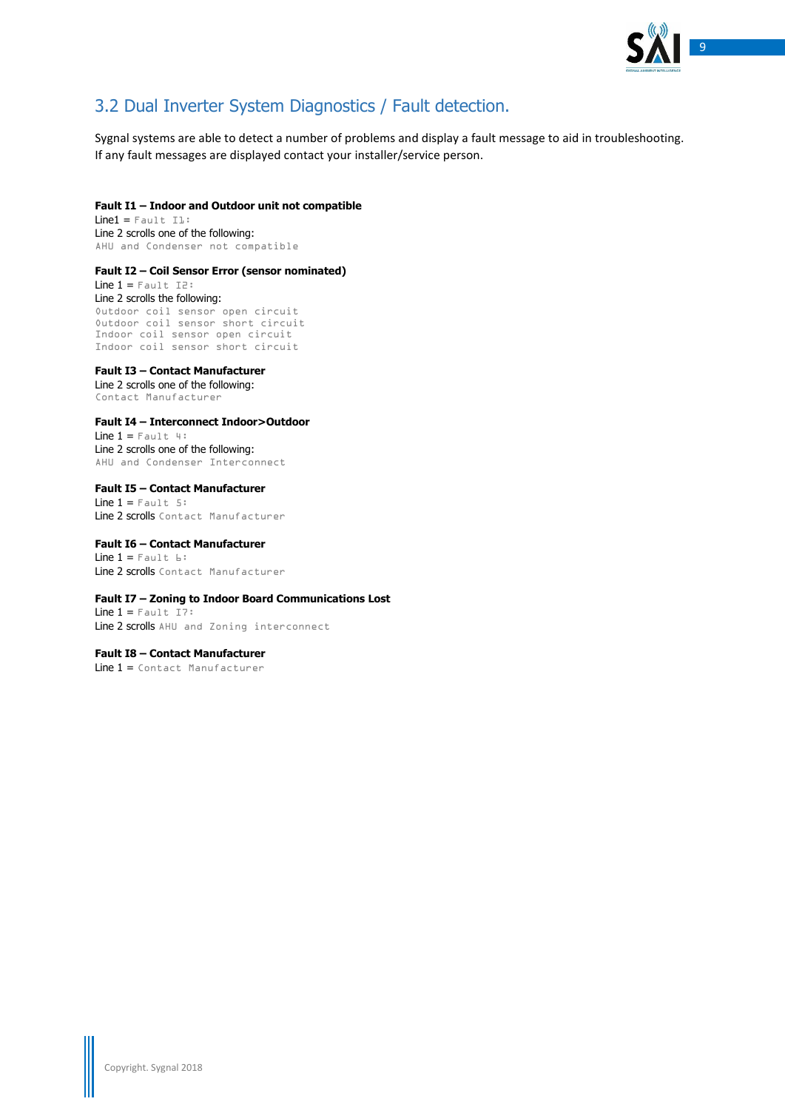

### <span id="page-8-0"></span>3.2 Dual Inverter System Diagnostics / Fault detection.

Sygnal systems are able to detect a number of problems and display a fault message to aid in troubleshooting. If any fault messages are displayed contact your installer/service person.

#### **Fault I1 – Indoor and Outdoor unit not compatible**

 $Line1 = False1t$ . Il: Line 2 scrolls one of the following: AHU and Condenser not compatible

#### **Fault I2 – Coil Sensor Error (sensor nominated)**

Line  $1 =$  Fault I2: Line 2 scrolls the following: Outdoor coil sensor open circuit Outdoor coil sensor short circuit Indoor coil sensor open circuit Indoor coil sensor short circuit

#### **Fault I3 – Contact Manufacturer**

Line 2 scrolls one of the following: Contact Manufacturer

#### **Fault I4 – Interconnect Indoor>Outdoor**

Line  $1 =$  Fault 4: Line 2 scrolls one of the following: AHU and Condenser Interconnect

### **Fault I5 – Contact Manufacturer** Line  $1 =$  Fault 5:

Line 2 scrolls Contact Manufacturer

#### **Fault I6 – Contact Manufacturer** Line  $1 =$  Fault  $E:$ Line 2 scrolls Contact Manufacturer

#### **Fault I7 – Zoning to Indoor Board Communications Lost**

Line  $1 =$  Fault I7: Line 2 scrolls AHU and Zoning interconnect

#### **Fault I8 – Contact Manufacturer**

Line 1 = Contact Manufacturer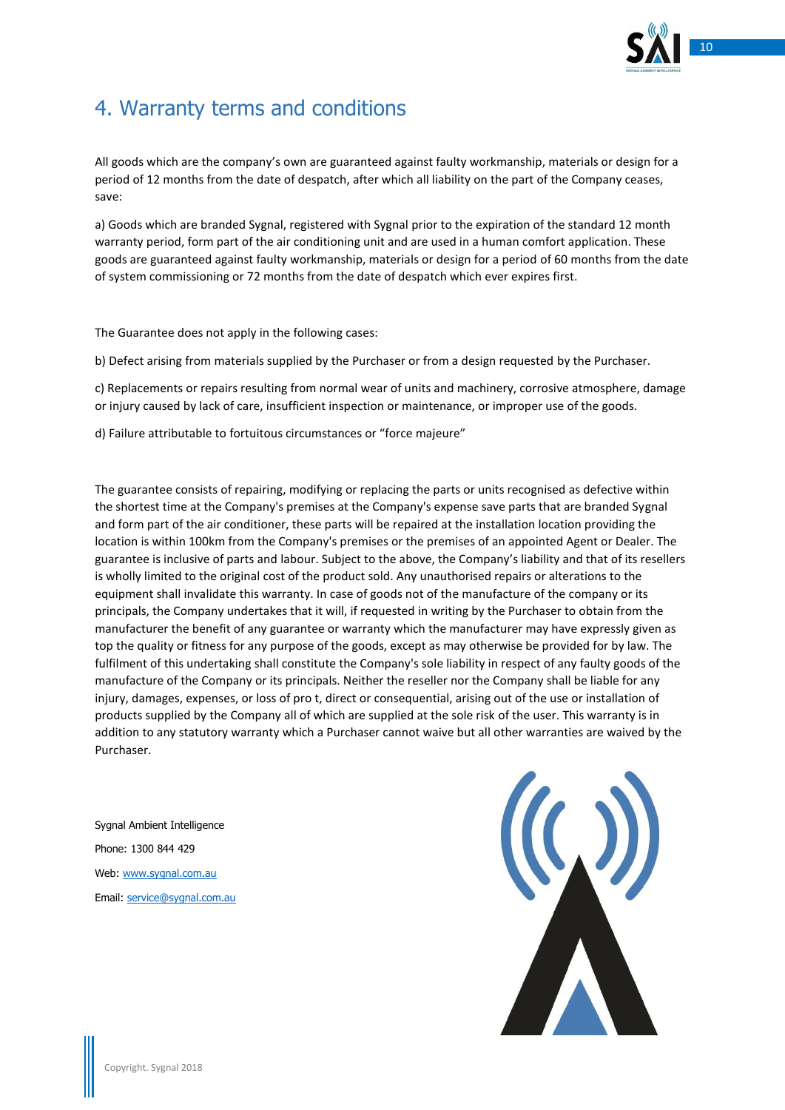

## <span id="page-9-0"></span>4. Warranty terms and conditions

All goods which are the company's own are guaranteed against faulty workmanship, materials or design for a period of 12 months from the date of despatch, after which all liability on the part of the Company ceases, save:

a) Goods which are branded Sygnal, registered with Sygnal prior to the expiration of the standard 12 month warranty period, form part of the air conditioning unit and are used in a human comfort application. These goods are guaranteed against faulty workmanship, materials or design for a period of 60 months from the date of system commissioning or 72 months from the date of despatch which ever expires first.

The Guarantee does not apply in the following cases:

b) Defect arising from materials supplied by the Purchaser or from a design requested by the Purchaser.

c) Replacements or repairs resulting from normal wear of units and machinery, corrosive atmosphere, damage or injury caused by lack of care, insufficient inspection or maintenance, or improper use of the goods.

d) Failure attributable to fortuitous circumstances or "force majeure"

The guarantee consists of repairing, modifying or replacing the parts or units recognised as defective within the shortest time at the Company's premises at the Company's expense save parts that are branded Sygnal and form part of the air conditioner, these parts will be repaired at the installation location providing the location is within 100km from the Company's premises or the premises of an appointed Agent or Dealer. The guarantee is inclusive of parts and labour. Subject to the above, the Company's liability and that of its resellers is wholly limited to the original cost of the product sold. Any unauthorised repairs or alterations to the equipment shall invalidate this warranty. In case of goods not of the manufacture of the company or its principals, the Company undertakes that it will, if requested in writing by the Purchaser to obtain from the manufacturer the benefit of any guarantee or warranty which the manufacturer may have expressly given as top the quality or fitness for any purpose of the goods, except as may otherwise be provided for by law. The fulfilment of this undertaking shall constitute the Company's sole liability in respect of any faulty goods of the manufacture of the Company or its principals. Neither the reseller nor the Company shall be liable for any injury, damages, expenses, or loss of pro t, direct or consequential, arising out of the use or installation of products supplied by the Company all of which are supplied at the sole risk of the user. This warranty is in addition to any statutory warranty which a Purchaser cannot waive but all other warranties are waived by the Purchaser.

Sygnal Ambient Intelligence Phone: 1300 844 429 Web: [www.sygnal.com.au](http://www.sygnal.com.au/) Email: [service@sygnal.com.au](mailto:service@sygnal.com.au)